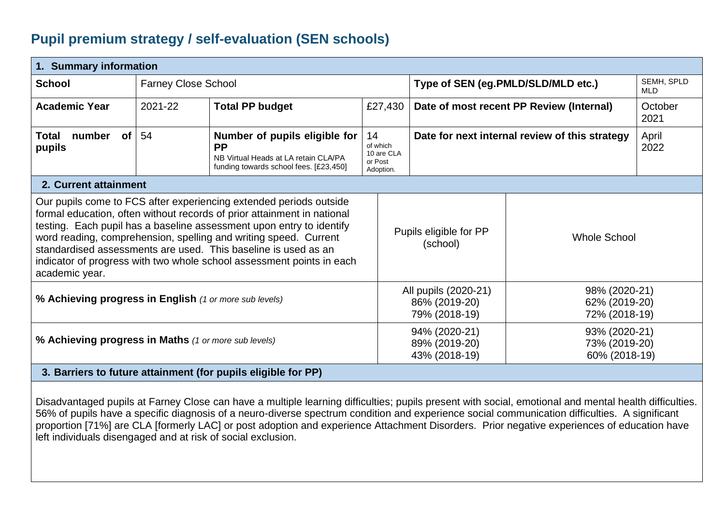## **Pupil premium strategy / self-evaluation (SEN schools)**

| 1. Summary information                                                                                                                                                                                                                                                                                                                                                                                                                                                                                              |                            |                                                                                                                              |                                                      |                                                                                                    |                                                 |                   |
|---------------------------------------------------------------------------------------------------------------------------------------------------------------------------------------------------------------------------------------------------------------------------------------------------------------------------------------------------------------------------------------------------------------------------------------------------------------------------------------------------------------------|----------------------------|------------------------------------------------------------------------------------------------------------------------------|------------------------------------------------------|----------------------------------------------------------------------------------------------------|-------------------------------------------------|-------------------|
| <b>School</b>                                                                                                                                                                                                                                                                                                                                                                                                                                                                                                       | <b>Farney Close School</b> |                                                                                                                              |                                                      | Type of SEN (eg.PMLD/SLD/MLD etc.)                                                                 |                                                 | SEMH, SPLD<br>MLD |
| <b>Academic Year</b>                                                                                                                                                                                                                                                                                                                                                                                                                                                                                                | 2021-22                    | <b>Total PP budget</b>                                                                                                       | £27,430                                              | Date of most recent PP Review (Internal)                                                           |                                                 | October<br>2021   |
| number<br>Total<br>of<br>pupils                                                                                                                                                                                                                                                                                                                                                                                                                                                                                     | 54                         | Number of pupils eligible for<br><b>PP</b><br>NB Virtual Heads at LA retain CLA/PA<br>funding towards school fees. [£23,450] | 14<br>of which<br>10 are CLA<br>or Post<br>Adoption. | Date for next internal review of this strategy                                                     |                                                 | April<br>2022     |
| 2. Current attainment                                                                                                                                                                                                                                                                                                                                                                                                                                                                                               |                            |                                                                                                                              |                                                      |                                                                                                    |                                                 |                   |
| Our pupils come to FCS after experiencing extended periods outside<br>formal education, often without records of prior attainment in national<br>testing. Each pupil has a baseline assessment upon entry to identify<br>Pupils eligible for PP<br>word reading, comprehension, spelling and writing speed. Current<br><b>Whole School</b><br>(school)<br>standardised assessments are used. This baseline is used as an<br>indicator of progress with two whole school assessment points in each<br>academic year. |                            |                                                                                                                              |                                                      |                                                                                                    |                                                 |                   |
| % Achieving progress in English (1 or more sub levels)                                                                                                                                                                                                                                                                                                                                                                                                                                                              |                            |                                                                                                                              |                                                      | All pupils (2020-21)<br>86% (2019-20)<br>79% (2018-19)                                             | 98% (2020-21)<br>62% (2019-20)<br>72% (2018-19) |                   |
| % Achieving progress in Maths (1 or more sub levels)                                                                                                                                                                                                                                                                                                                                                                                                                                                                |                            |                                                                                                                              |                                                      | 94% (2020-21)<br>93% (2020-21)<br>89% (2019-20)<br>73% (2019-20)<br>60% (2018-19)<br>43% (2018-19) |                                                 |                   |
| 3. Barriers to future attainment (for pupils eligible for PP)                                                                                                                                                                                                                                                                                                                                                                                                                                                       |                            |                                                                                                                              |                                                      |                                                                                                    |                                                 |                   |

Disadvantaged pupils at Farney Close can have a multiple learning difficulties; pupils present with social, emotional and mental health difficulties. 56% of pupils have a specific diagnosis of a neuro-diverse spectrum condition and experience social communication difficulties. A significant proportion [71%] are CLA [formerly LAC] or post adoption and experience Attachment Disorders. Prior negative experiences of education have left individuals disengaged and at risk of social exclusion.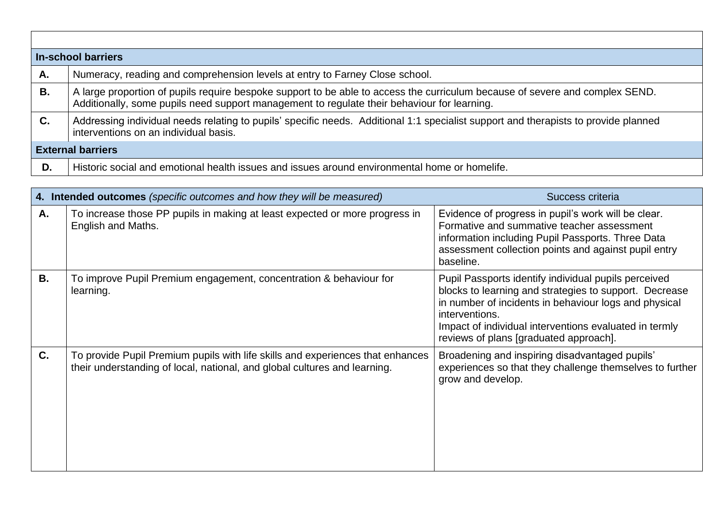| In-school barriers |                                                                                                                                                                                                                             |  |  |  |  |
|--------------------|-----------------------------------------------------------------------------------------------------------------------------------------------------------------------------------------------------------------------------|--|--|--|--|
| А.                 | Numeracy, reading and comprehension levels at entry to Farney Close school.                                                                                                                                                 |  |  |  |  |
| В.                 | A large proportion of pupils require bespoke support to be able to access the curriculum because of severe and complex SEND.<br>Additionally, some pupils need support management to regulate their behaviour for learning. |  |  |  |  |
| C.                 | Addressing individual needs relating to pupils' specific needs. Additional 1:1 specialist support and therapists to provide planned<br>interventions on an individual basis.                                                |  |  |  |  |
|                    | <b>External barriers</b>                                                                                                                                                                                                    |  |  |  |  |
| D.                 | Historic social and emotional health issues and issues around environmental home or homelife.                                                                                                                               |  |  |  |  |

 $\Gamma$ 

|           | 4. Intended outcomes (specific outcomes and how they will be measured)                                                                                      | Success criteria                                                                                                                                                                                                                                                                              |  |  |
|-----------|-------------------------------------------------------------------------------------------------------------------------------------------------------------|-----------------------------------------------------------------------------------------------------------------------------------------------------------------------------------------------------------------------------------------------------------------------------------------------|--|--|
| Α.        | To increase those PP pupils in making at least expected or more progress in<br>English and Maths.                                                           | Evidence of progress in pupil's work will be clear.<br>Formative and summative teacher assessment<br>information including Pupil Passports. Three Data<br>assessment collection points and against pupil entry<br>baseline.                                                                   |  |  |
| <b>B.</b> | To improve Pupil Premium engagement, concentration & behaviour for<br>learning.                                                                             | Pupil Passports identify individual pupils perceived<br>blocks to learning and strategies to support. Decrease<br>in number of incidents in behaviour logs and physical<br>interventions.<br>Impact of individual interventions evaluated in termly<br>reviews of plans [graduated approach]. |  |  |
| $C_{1}$   | To provide Pupil Premium pupils with life skills and experiences that enhances<br>their understanding of local, national, and global cultures and learning. | Broadening and inspiring disadvantaged pupils'<br>experiences so that they challenge themselves to further<br>grow and develop.                                                                                                                                                               |  |  |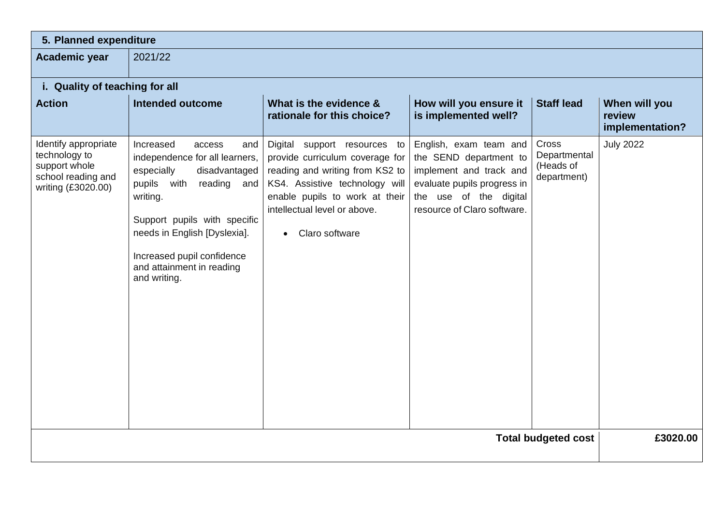## **5. Planned expenditure**

**Academic year** 2021/22

## **i. Quality of teaching for all**

| <b>Action</b>                                                                                      | <b>Intended outcome</b>                                                                                                                                                                                                                                                                | What is the evidence &<br>rationale for this choice?                                                                                                                                                                                  | How will you ensure it<br>is implemented well?                                                                                                                      | <b>Staff lead</b>                                 | When will you<br>review<br>implementation? |
|----------------------------------------------------------------------------------------------------|----------------------------------------------------------------------------------------------------------------------------------------------------------------------------------------------------------------------------------------------------------------------------------------|---------------------------------------------------------------------------------------------------------------------------------------------------------------------------------------------------------------------------------------|---------------------------------------------------------------------------------------------------------------------------------------------------------------------|---------------------------------------------------|--------------------------------------------|
| Identify appropriate<br>technology to<br>support whole<br>school reading and<br>writing (£3020.00) | Increased<br>access<br>and<br>independence for all learners,<br>especially<br>disadvantaged<br>pupils<br>with<br>reading<br>and<br>writing.<br>Support pupils with specific<br>needs in English [Dyslexia].<br>Increased pupil confidence<br>and attainment in reading<br>and writing. | Digital support resources to<br>provide curriculum coverage for<br>reading and writing from KS2 to<br>KS4. Assistive technology will<br>enable pupils to work at their<br>intellectual level or above.<br>Claro software<br>$\bullet$ | English, exam team and<br>the SEND department to<br>implement and track and<br>evaluate pupils progress in<br>the use of the digital<br>resource of Claro software. | Cross<br>Departmental<br>(Heads of<br>department) | <b>July 2022</b>                           |
|                                                                                                    |                                                                                                                                                                                                                                                                                        |                                                                                                                                                                                                                                       |                                                                                                                                                                     | <b>Total budgeted cost</b>                        | £3020.00                                   |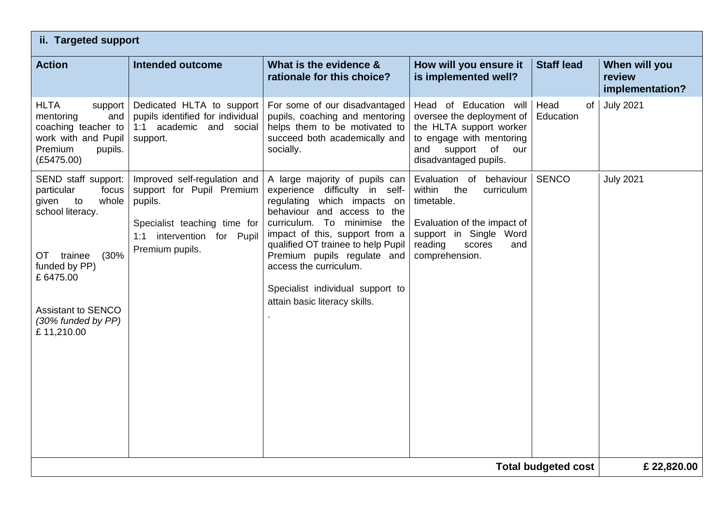| ii. Targeted support                                                                                                                                                                                       |                                                                                                                                                          |                                                                                                                                                                                                                                                                                                                                                                        |                                                                                                                                                                             |                         |                                            |  |
|------------------------------------------------------------------------------------------------------------------------------------------------------------------------------------------------------------|----------------------------------------------------------------------------------------------------------------------------------------------------------|------------------------------------------------------------------------------------------------------------------------------------------------------------------------------------------------------------------------------------------------------------------------------------------------------------------------------------------------------------------------|-----------------------------------------------------------------------------------------------------------------------------------------------------------------------------|-------------------------|--------------------------------------------|--|
| <b>Action</b>                                                                                                                                                                                              | <b>Intended outcome</b>                                                                                                                                  | What is the evidence &<br>rationale for this choice?                                                                                                                                                                                                                                                                                                                   | How will you ensure it<br>is implemented well?                                                                                                                              | <b>Staff lead</b>       | When will you<br>review<br>implementation? |  |
| <b>HLTA</b><br>support<br>mentoring<br>and<br>coaching teacher to<br>work with and Pupil<br><b>Premium</b><br>pupils.<br>(E5475.00)                                                                        | Dedicated HLTA to support<br>pupils identified for individual<br>1:1 academic and social<br>support.                                                     | For some of our disadvantaged<br>pupils, coaching and mentoring<br>helps them to be motivated to<br>succeed both academically and<br>socially.                                                                                                                                                                                                                         | Head of Education will<br>oversee the deployment of<br>the HLTA support worker<br>to engage with mentoring<br>and<br>support<br>of<br>our<br>disadvantaged pupils.          | Head<br>of<br>Education | <b>July 2021</b>                           |  |
| SEND staff support:<br>particular<br>focus<br>whole<br>given<br>to<br>school literacy.<br>(30%<br>OT trainee<br>funded by PP)<br>£6475.00<br><b>Assistant to SENCO</b><br>(30% funded by PP)<br>£11,210.00 | Improved self-regulation and<br>support for Pupil Premium<br>pupils.<br>Specialist teaching time for<br>intervention for Pupil<br>1:1<br>Premium pupils. | A large majority of pupils can<br>experience difficulty in self-<br>which impacts on<br>regulating<br>behaviour and access to the<br>curriculum. To minimise the<br>impact of this, support from a<br>qualified OT trainee to help Pupil<br>Premium pupils regulate and<br>access the curriculum.<br>Specialist individual support to<br>attain basic literacy skills. | Evaluation of behaviour<br>within<br>the<br>curriculum<br>timetable.<br>Evaluation of the impact of<br>support in Single Word<br>reading<br>scores<br>and<br>comprehension. | <b>SENCO</b>            | <b>July 2021</b>                           |  |
| £22,820.00<br><b>Total budgeted cost</b>                                                                                                                                                                   |                                                                                                                                                          |                                                                                                                                                                                                                                                                                                                                                                        |                                                                                                                                                                             |                         |                                            |  |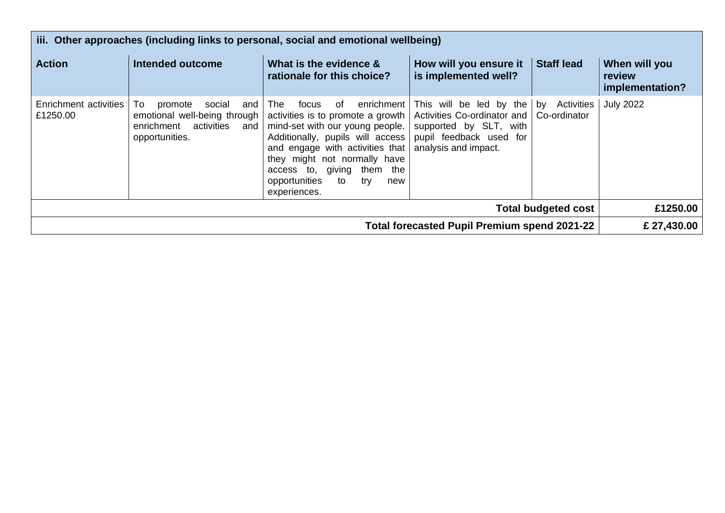| iii. Other approaches (including links to personal, social and emotional wellbeing) |                                                                                                                     |                                                                                                                                                                                                                                                                                                     |                                                                                                                                     |                                  |                                            |  |
|-------------------------------------------------------------------------------------|---------------------------------------------------------------------------------------------------------------------|-----------------------------------------------------------------------------------------------------------------------------------------------------------------------------------------------------------------------------------------------------------------------------------------------------|-------------------------------------------------------------------------------------------------------------------------------------|----------------------------------|--------------------------------------------|--|
| <b>Action</b>                                                                       | Intended outcome                                                                                                    | What is the evidence &<br>rationale for this choice?                                                                                                                                                                                                                                                | How will you ensure it<br>is implemented well?                                                                                      | <b>Staff lead</b>                | When will you<br>review<br>implementation? |  |
| Enrichment activities<br>£1250.00                                                   | To.<br>social<br>and<br>promote<br>emotional well-being through<br>enrichment activities<br>and I<br>opportunities. | enrichment<br>focus<br>The<br>of.<br>activities is to promote a growth<br>mind-set with our young people.<br>Additionally, pupils will access<br>and engage with activities that<br>they might not normally have<br>access to, giving them the<br>opportunities<br>trv<br>to<br>new<br>experiences. | This will be led by the<br>Activities Co-ordinator and<br>supported by SLT, with<br>pupil feedback used for<br>analysis and impact. | Activities<br>by<br>Co-ordinator | <b>July 2022</b>                           |  |
| <b>Total budgeted cost</b>                                                          |                                                                                                                     |                                                                                                                                                                                                                                                                                                     |                                                                                                                                     |                                  | £1250.00                                   |  |
| Total forecasted Pupil Premium spend 2021-22                                        |                                                                                                                     |                                                                                                                                                                                                                                                                                                     |                                                                                                                                     |                                  | £ 27,430.00                                |  |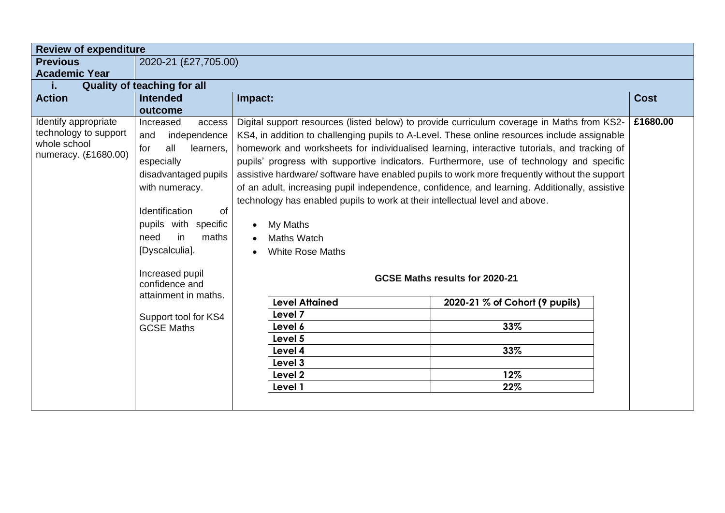| <b>Review of expenditure</b> |                                    |                                                                                                        |             |  |  |  |
|------------------------------|------------------------------------|--------------------------------------------------------------------------------------------------------|-------------|--|--|--|
| <b>Previous</b>              | 2020-21 (£27,705.00)               |                                                                                                        |             |  |  |  |
| <b>Academic Year</b>         |                                    |                                                                                                        |             |  |  |  |
| i.                           | <b>Quality of teaching for all</b> |                                                                                                        |             |  |  |  |
| <b>Action</b>                | <b>Intended</b>                    | Impact:                                                                                                | <b>Cost</b> |  |  |  |
|                              | outcome                            |                                                                                                        |             |  |  |  |
| Identify appropriate         | Increased<br>access                | £1680.00<br>Digital support resources (listed below) to provide curriculum coverage in Maths from KS2- |             |  |  |  |
| technology to support        | independence<br>and                | KS4, in addition to challenging pupils to A-Level. These online resources include assignable           |             |  |  |  |
| whole school                 | for<br>all<br>learners,            | homework and worksheets for individualised learning, interactive tutorials, and tracking of            |             |  |  |  |
| numeracy. (£1680.00)         | especially                         | pupils' progress with supportive indicators. Furthermore, use of technology and specific               |             |  |  |  |
|                              | disadvantaged pupils               | assistive hardware/software have enabled pupils to work more frequently without the support            |             |  |  |  |
|                              | with numeracy.                     | of an adult, increasing pupil independence, confidence, and learning. Additionally, assistive          |             |  |  |  |
|                              |                                    | technology has enabled pupils to work at their intellectual level and above.                           |             |  |  |  |
|                              | Identification<br>of               |                                                                                                        |             |  |  |  |
|                              | pupils with specific               | My Maths                                                                                               |             |  |  |  |
|                              | need<br>in<br>maths                | <b>Maths Watch</b>                                                                                     |             |  |  |  |
|                              | [Dyscalculia].                     | <b>White Rose Maths</b>                                                                                |             |  |  |  |
|                              |                                    |                                                                                                        |             |  |  |  |
|                              | Increased pupil                    | GCSE Maths results for 2020-21                                                                         |             |  |  |  |
|                              | confidence and                     |                                                                                                        |             |  |  |  |
|                              | attainment in maths.               | <b>Level Attained</b><br>2020-21 % of Cohort (9 pupils)                                                |             |  |  |  |
|                              | Support tool for KS4               | Level 7                                                                                                |             |  |  |  |
|                              | <b>GCSE Maths</b>                  | 33%<br>Level 6                                                                                         |             |  |  |  |
|                              |                                    | Level 5                                                                                                |             |  |  |  |
|                              |                                    |                                                                                                        |             |  |  |  |
|                              |                                    | 33%<br>Level 4<br>Level 3                                                                              |             |  |  |  |
|                              |                                    | Level 2<br>12%                                                                                         |             |  |  |  |
|                              |                                    | 22%<br>Level 1                                                                                         |             |  |  |  |
|                              |                                    |                                                                                                        |             |  |  |  |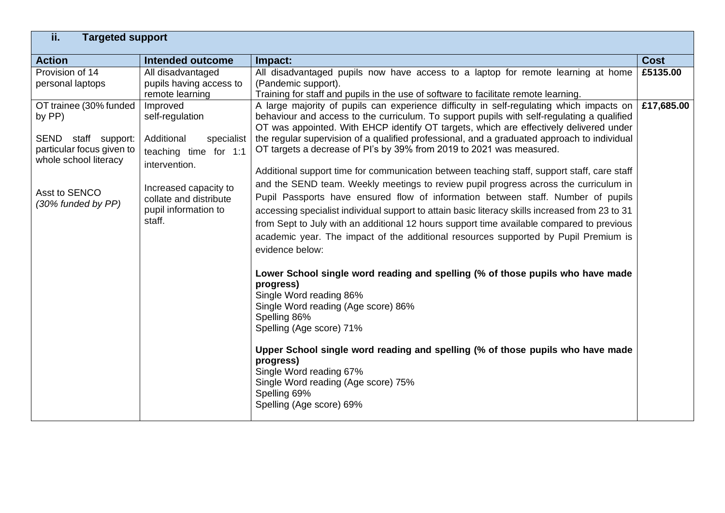| ii.<br><b>Targeted support</b>                                                                                                                       |                                                                                                                                                                                        |                                                                                                                                                                                                                                                                                                                                                                                                                                                                                                                                                                                                                                                                                                                                                                                                                                                                                                                                                                                                                                                                                                                                                                                                                                                                                                                                                                                                                                                                        |             |
|------------------------------------------------------------------------------------------------------------------------------------------------------|----------------------------------------------------------------------------------------------------------------------------------------------------------------------------------------|------------------------------------------------------------------------------------------------------------------------------------------------------------------------------------------------------------------------------------------------------------------------------------------------------------------------------------------------------------------------------------------------------------------------------------------------------------------------------------------------------------------------------------------------------------------------------------------------------------------------------------------------------------------------------------------------------------------------------------------------------------------------------------------------------------------------------------------------------------------------------------------------------------------------------------------------------------------------------------------------------------------------------------------------------------------------------------------------------------------------------------------------------------------------------------------------------------------------------------------------------------------------------------------------------------------------------------------------------------------------------------------------------------------------------------------------------------------------|-------------|
| <b>Action</b>                                                                                                                                        | <b>Intended outcome</b>                                                                                                                                                                | Impact:                                                                                                                                                                                                                                                                                                                                                                                                                                                                                                                                                                                                                                                                                                                                                                                                                                                                                                                                                                                                                                                                                                                                                                                                                                                                                                                                                                                                                                                                | <b>Cost</b> |
| Provision of 14<br>personal laptops                                                                                                                  | All disadvantaged<br>pupils having access to<br>remote learning                                                                                                                        | All disadvantaged pupils now have access to a laptop for remote learning at home<br>(Pandemic support).<br>Training for staff and pupils in the use of software to facilitate remote learning.                                                                                                                                                                                                                                                                                                                                                                                                                                                                                                                                                                                                                                                                                                                                                                                                                                                                                                                                                                                                                                                                                                                                                                                                                                                                         | £5135.00    |
| OT trainee (30% funded<br>by PP)<br>SEND staff support:<br>particular focus given to<br>whole school literacy<br>Asst to SENCO<br>(30% funded by PP) | Improved<br>self-regulation<br>Additional<br>specialist<br>teaching time for 1:1<br>intervention.<br>Increased capacity to<br>collate and distribute<br>pupil information to<br>staff. | A large majority of pupils can experience difficulty in self-regulating which impacts on<br>behaviour and access to the curriculum. To support pupils with self-regulating a qualified<br>OT was appointed. With EHCP identify OT targets, which are effectively delivered under<br>the regular supervision of a qualified professional, and a graduated approach to individual<br>OT targets a decrease of PI's by 39% from 2019 to 2021 was measured.<br>Additional support time for communication between teaching staff, support staff, care staff<br>and the SEND team. Weekly meetings to review pupil progress across the curriculum in<br>Pupil Passports have ensured flow of information between staff. Number of pupils<br>accessing specialist individual support to attain basic literacy skills increased from 23 to 31<br>from Sept to July with an additional 12 hours support time available compared to previous<br>academic year. The impact of the additional resources supported by Pupil Premium is<br>evidence below:<br>Lower School single word reading and spelling (% of those pupils who have made<br>progress)<br>Single Word reading 86%<br>Single Word reading (Age score) 86%<br>Spelling 86%<br>Spelling (Age score) 71%<br>Upper School single word reading and spelling (% of those pupils who have made<br>progress)<br>Single Word reading 67%<br>Single Word reading (Age score) 75%<br>Spelling 69%<br>Spelling (Age score) 69% | £17,685.00  |